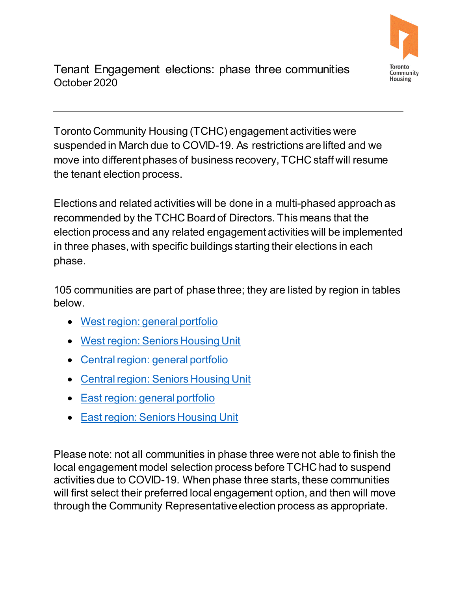

 October 2020 Tenant Engagement elections: phase three communities

 the tenant election process. Toronto Community Housing (TCHC) engagement activities were suspended in March due to COVID-19. As restrictions are lifted and we move into different phases of business recovery, TCHC staff will resume

 election process and any related engagement activities will be implemented in three phases, with specific buildings starting their elections in each Elections and related activities will be done in a multi-phased approach as recommended by the TCHC Board of Directors. This means that the phase.

105 communities are part of phase three; they are listed by region in tables below.

- [West region: general portfolio](#page-1-0)
- [West region: Seniors Housing Unit](#page-1-1)
- [Central region: general portfolio](#page-1-2)
- [Central region: Seniors Housing Unit](#page-4-0)
- [East region: general portfolio](#page-4-1)
- [East region: Seniors Housing Unit](#page-5-0)

 local engagement model selection process before TCHC had to suspend activities due to COVID-19. When phase three starts, these communities Please note: not all communities in phase three were not able to finish the will first select their preferred local engagement option, and then will move through the Community Representative election process as appropriate.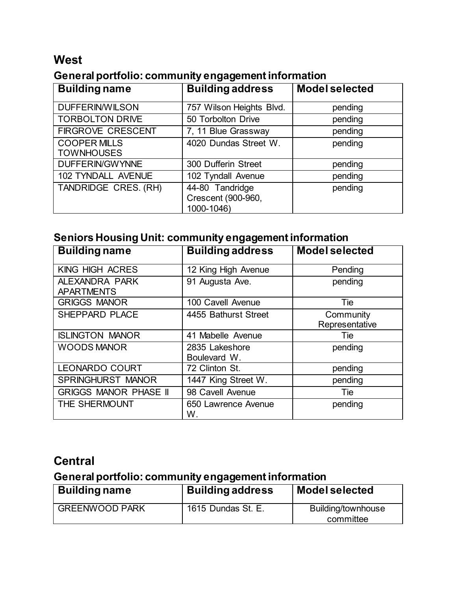#### **West**

#### <span id="page-1-0"></span>**General portfolio: community engagement information**

| <b>Building name</b>                     | <b>Building address</b>                             | <b>Model selected</b> |
|------------------------------------------|-----------------------------------------------------|-----------------------|
| <b>DUFFERIN/WILSON</b>                   | 757 Wilson Heights Blvd.                            | pending               |
| <b>TORBOLTON DRIVE</b>                   | 50 Torbolton Drive                                  | pending               |
| <b>FIRGROVE CRESCENT</b>                 | 7, 11 Blue Grassway                                 | pending               |
| <b>COOPER MILLS</b><br><b>TOWNHOUSES</b> | 4020 Dundas Street W.                               | pending               |
| DUFFERIN/GWYNNE                          | 300 Dufferin Street                                 | pending               |
| 102 TYNDALL AVENUE                       | 102 Tyndall Avenue                                  | pending               |
| TANDRIDGE CRES. (RH)                     | 44-80 Tandridge<br>Crescent (900-960,<br>1000-1046) | pending               |

#### <span id="page-1-1"></span>**Seniors Housing Unit: community engagement information**

| <b>Building name</b>                | <b>Building address</b>        | <b>Model selected</b>       |
|-------------------------------------|--------------------------------|-----------------------------|
| KING HIGH ACRES                     | 12 King High Avenue            | Pending                     |
| ALEXANDRA PARK<br><b>APARTMENTS</b> | 91 Augusta Ave.                | pending                     |
| <b>GRIGGS MANOR</b>                 | 100 Cavell Avenue              | Tie                         |
| SHEPPARD PLACE                      | 4455 Bathurst Street           | Community<br>Representative |
| <b>ISLINGTON MANOR</b>              | 41 Mabelle Avenue              | Tie                         |
| <b>WOODS MANOR</b>                  | 2835 Lakeshore<br>Boulevard W. | pending                     |
| LEONARDO COURT                      | 72 Clinton St.                 | pending                     |
| <b>SPRINGHURST MANOR</b>            | 1447 King Street W.            | pending                     |
| <b>GRIGGS MANOR PHASE II</b>        | 98 Cavell Avenue               | Tie                         |
| THE SHERMOUNT                       | 650 Lawrence Avenue<br>W.      | pending                     |

### **Central**

### <span id="page-1-2"></span>**General portfolio: community engagement information**

| <b>Building name</b>  | <b>Building address</b> | <b>Model selected</b> |
|-----------------------|-------------------------|-----------------------|
| <b>GREENWOOD PARK</b> | 1615 Dundas St. E.      | Building/townhouse    |
|                       |                         | committee             |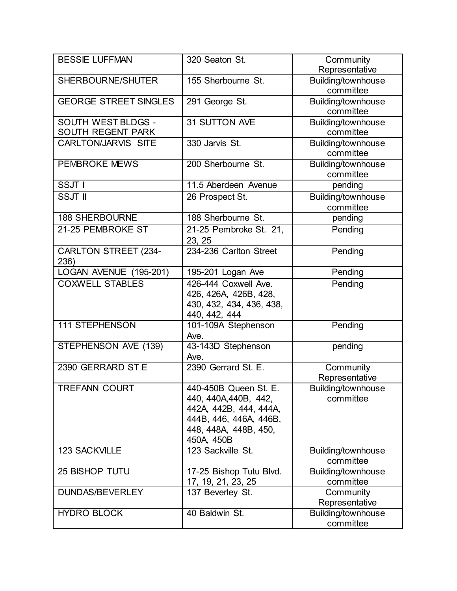| <b>BESSIE LUFFMAN</b>        | 320 Seaton St.              | Community                       |
|------------------------------|-----------------------------|---------------------------------|
|                              |                             | Representative                  |
| SHERBOURNE/SHUTER            | 155 Sherbourne St.          | Building/townhouse<br>committee |
| <b>GEORGE STREET SINGLES</b> | 291 George St.              | Building/townhouse              |
|                              |                             | committee                       |
| SOUTH WEST BLDGS -           | 31 SUTTON AVE               | Building/townhouse              |
| SOUTH REGENT PARK            |                             | committee                       |
| <b>CARLTON/JARVIS SITE</b>   | 330 Jarvis St.              | Building/townhouse              |
|                              |                             | committee                       |
| <b>PEMBROKE MEWS</b>         | 200 Sherbourne St.          | Building/townhouse              |
|                              |                             | committee                       |
| SSJT I                       | 11.5 Aberdeen Avenue        | pending                         |
| <b>SSJT II</b>               | 26 Prospect St.             | Building/townhouse              |
|                              |                             | committee                       |
| <b>188 SHERBOURNE</b>        | 188 Sherbourne St.          | pending                         |
| 21-25 PEMBROKE ST            | 21-25 Pembroke St. 21,      | Pending                         |
|                              | 23, 25                      |                                 |
| <b>CARLTON STREET (234-</b>  | 234-236 Carlton Street      | Pending                         |
| 236)                         |                             |                                 |
| LOGAN AVENUE (195-201)       | 195-201 Logan Ave           | Pending                         |
| <b>COXWELL STABLES</b>       | 426-444 Coxwell Ave.        | Pending                         |
|                              | 426, 426A, 426B, 428,       |                                 |
|                              | 430, 432, 434, 436, 438,    |                                 |
|                              | 440, 442, 444               |                                 |
| <b>111 STEPHENSON</b>        | 101-109A Stephenson         | Pending                         |
|                              | Ave.                        |                                 |
| STEPHENSON AVE (139)         | 43-143D Stephenson          | pending                         |
| 2390 GERRARD ST E            | Ave.<br>2390 Gerrard St. E. |                                 |
|                              |                             | Community<br>Representative     |
| TREFANN COURT                | 440-450B Queen St. E.       | Building/townhouse              |
|                              | 440, 440A, 440B, 442,       | committee                       |
|                              | 442A, 442B, 444, 444A,      |                                 |
|                              | 444B, 446, 446A, 446B,      |                                 |
|                              | 448, 448A, 448B, 450,       |                                 |
|                              | 450A, 450B                  |                                 |
| 123 SACKVILLE                | 123 Sackville St.           | Building/townhouse              |
|                              |                             | committee                       |
| <b>25 BISHOP TUTU</b>        | 17-25 Bishop Tutu Blvd.     | Building/townhouse              |
|                              | 17, 19, 21, 23, 25          | committee                       |
| DUNDAS/BEVERLEY              | 137 Beverley St.            | Community                       |
|                              |                             | Representative                  |
| <b>HYDRO BLOCK</b>           | 40 Baldwin St.              | Building/townhouse              |
|                              |                             | committee                       |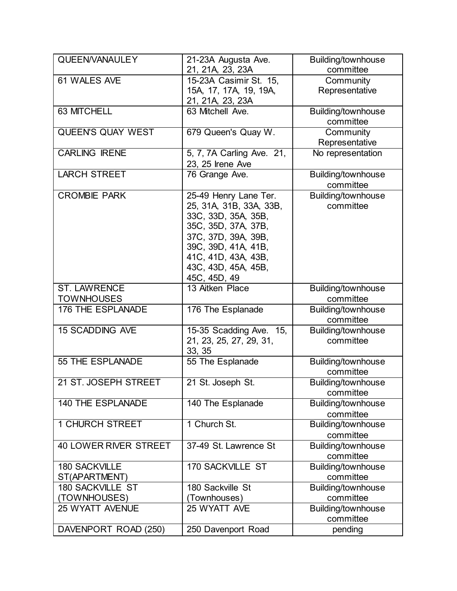| QUEEN/VANAULEY               | 21-23A Augusta Ave.             | Building/townhouse              |
|------------------------------|---------------------------------|---------------------------------|
|                              | 21, 21A, 23, 23A                | committee                       |
| 61 WALES AVE                 | 15-23A Casimir St. 15,          | Community                       |
|                              | 15A, 17, 17A, 19, 19A,          | Representative                  |
|                              | 21, 21A, 23, 23A                |                                 |
| 63 MITCHELL                  | 63 Mitchell Ave.                | Building/townhouse              |
|                              |                                 | committee                       |
| <b>QUEEN'S QUAY WEST</b>     | 679 Queen's Quay W.             | Community                       |
|                              |                                 | Representative                  |
| <b>CARLING IRENE</b>         | 5, 7, 7A Carling Ave. 21,       | No representation               |
|                              | 23, 25 Irene Ave                |                                 |
| <b>LARCH STREET</b>          | 76 Grange Ave.                  | Building/townhouse              |
|                              |                                 | committee                       |
| <b>CROMBIE PARK</b>          | 25-49 Henry Lane Ter.           | Building/townhouse              |
|                              | 25, 31A, 31B, 33A, 33B,         | committee                       |
|                              | 33C, 33D, 35A, 35B,             |                                 |
|                              | 35C, 35D, 37A, 37B,             |                                 |
|                              | 37C, 37D, 39A, 39B,             |                                 |
|                              | 39C, 39D, 41A, 41B,             |                                 |
|                              | 41C, 41D, 43A, 43B,             |                                 |
|                              | 43C, 43D, 45A, 45B,             |                                 |
| <b>ST. LAWRENCE</b>          | 45C, 45D, 49<br>13 Aitken Place |                                 |
| <b>TOWNHOUSES</b>            |                                 | Building/townhouse<br>committee |
| 176 THE ESPLANADE            |                                 |                                 |
|                              | 176 The Esplanade               | Building/townhouse<br>committee |
| <b>15 SCADDING AVE</b>       | 15-35 Scadding Ave. 15,         | Building/townhouse              |
|                              | 21, 23, 25, 27, 29, 31,         | committee                       |
|                              | 33, 35                          |                                 |
| 55 THE ESPLANADE             | 55 The Esplanade                | Building/townhouse              |
|                              |                                 | committee                       |
| 21 ST. JOSEPH STREET         | 21 St. Joseph St.               | Building/townhouse              |
|                              |                                 | committee                       |
| <b>140 THE ESPLANADE</b>     | 140 The Esplanade               | Building/townhouse              |
|                              |                                 | committee                       |
| <b>1 CHURCH STREET</b>       | 1 Church St.                    | Building/townhouse              |
|                              |                                 | committee                       |
| <b>40 LOWER RIVER STREET</b> | 37-49 St. Lawrence St           | Building/townhouse              |
|                              |                                 | committee                       |
| <b>180 SACKVILLE</b>         | <b>170 SACKVILLE ST</b>         | Building/townhouse              |
| ST(APARTMENT)                |                                 | committee                       |
| <b>180 SACKVILLE ST</b>      | 180 Sackville St                | Building/townhouse              |
| TOWNHOUSES)                  | (Townhouses)                    | committee                       |
| <b>25 WYATT AVENUE</b>       | 25 WYATT AVE                    | Building/townhouse              |
|                              |                                 | committee                       |
| DAVENPORT ROAD (250)         | 250 Davenport Road              | pending                         |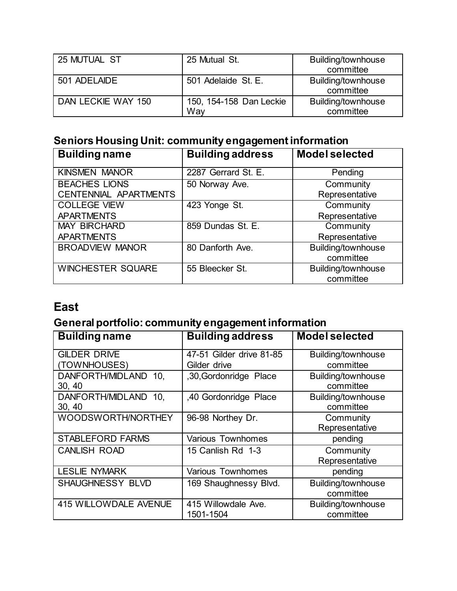| 25 MUTUAL ST       | 25 Mutual St.                  | Building/townhouse<br>committee |
|--------------------|--------------------------------|---------------------------------|
| 501 ADELAIDE       | 501 Adelaide St. E.            | Building/townhouse<br>committee |
| DAN LECKIE WAY 150 | 150, 154-158 Dan Leckie<br>Wav | Building/townhouse<br>committee |

### <span id="page-4-0"></span>**Seniors Housing Unit: community engagement information**

| <b>Building name</b>                          | <b>Building address</b> | <b>Model selected</b>           |
|-----------------------------------------------|-------------------------|---------------------------------|
| <b>KINSMEN MANOR</b>                          | 2287 Gerrard St. E.     | Pending                         |
| <b>BEACHES LIONS</b><br>CENTENNIAL APARTMENTS | 50 Norway Ave.          | Community<br>Representative     |
| <b>COLLEGE VIEW</b><br><b>APARTMENTS</b>      | 423 Yonge St.           | Community<br>Representative     |
| <b>MAY BIRCHARD</b><br><b>APARTMENTS</b>      | 859 Dundas St. E.       | Community<br>Representative     |
| <b>BROADVIEW MANOR</b>                        | 80 Danforth Ave.        | Building/townhouse<br>committee |
| <b>WINCHESTER SQUARE</b>                      | 55 Bleecker St.         | Building/townhouse<br>committee |

# **East**

# <span id="page-4-1"></span>**General portfolio: community engagement information**

| <b>Building name</b>         | <b>Building address</b>  | <b>Model selected</b> |
|------------------------------|--------------------------|-----------------------|
| <b>GILDER DRIVE</b>          | 47-51 Gilder drive 81-85 | Building/townhouse    |
| (TOWNHOUSES)                 | Gilder drive             | committee             |
| DANFORTH/MIDLAND 10,         | ,30, Gordonridge Place   | Building/townhouse    |
| 30, 40                       |                          | committee             |
| DANFORTH/MIDLAND<br>10.      | ,40 Gordonridge Place    | Building/townhouse    |
| 30, 40                       |                          | committee             |
| WOODSWORTH/NORTHEY           | 96-98 Northey Dr.        | Community             |
|                              |                          | Representative        |
| <b>STABLEFORD FARMS</b>      | <b>Various Townhomes</b> | pending               |
| <b>CANLISH ROAD</b>          | 15 Canlish Rd 1-3        | Community             |
|                              |                          | Representative        |
| <b>LESLIE NYMARK</b>         | <b>Various Townhomes</b> | pending               |
| SHAUGHNESSY BLVD             | 169 Shaughnessy Blvd.    | Building/townhouse    |
|                              |                          | committee             |
| <b>415 WILLOWDALE AVENUE</b> | 415 Willowdale Ave.      | Building/townhouse    |
|                              | 1501-1504                | committee             |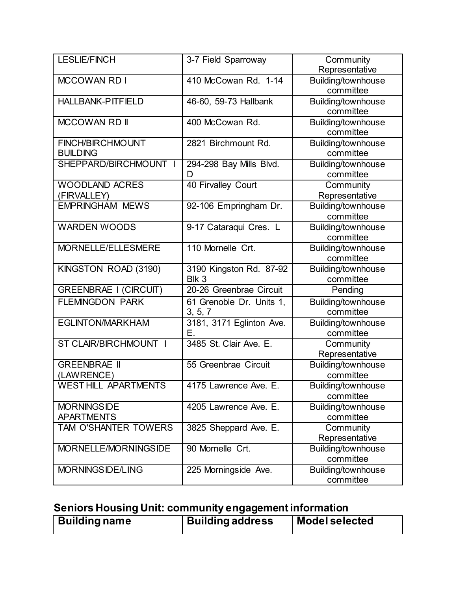| <b>LESLIE/FINCH</b>                     | 3-7 Field Sparroway                 | Community<br>Representative            |
|-----------------------------------------|-------------------------------------|----------------------------------------|
| <b>MCCOWAN RDI</b>                      | 410 McCowan Rd. 1-14                | Building/townhouse<br>committee        |
| <b>HALLBANK-PITFIELD</b>                | 46-60, 59-73 Hallbank               | Building/townhouse<br>committee        |
| <b>MCCOWAN RD II</b>                    | 400 McCowan Rd.                     | Building/townhouse<br>committee        |
| FINCH/BIRCHMOUNT<br><b>BUILDING</b>     | 2821 Birchmount Rd.                 | Building/townhouse<br>committee        |
| SHEPPARD/BIRCHMOUNT I                   | 294-298 Bay Mills Blvd.<br>D        | Building/townhouse<br>committee        |
| <b>WOODLAND ACRES</b><br>(FIRVALLEY)    | 40 Firvalley Court                  | Community<br>Representative            |
| <b>EMPRINGHAM MEWS</b>                  | 92-106 Empringham Dr.               | Building/townhouse<br>committee        |
| <b>WARDEN WOODS</b>                     | 9-17 Cataraqui Cres. L              | Building/townhouse<br>committee        |
| MORNELLE/ELLESMERE                      | 110 Mornelle Crt.                   | Building/townhouse<br>committee        |
| KINGSTON ROAD (3190)                    | 3190 Kingston Rd. 87-92<br>Blk 3    | Building/townhouse<br>committee        |
| <b>GREENBRAE I (CIRCUIT)</b>            | 20-26 Greenbrae Circuit             | Pending                                |
| <b>FLEMINGDON PARK</b>                  | 61 Grenoble Dr. Units 1,<br>3, 5, 7 | Building/townhouse<br>committee        |
| <b>EGLINTON/MARKHAM</b>                 | 3181, 3171 Eglinton Ave.<br>Е.      | Building/townhouse<br>committee        |
| ST CLAIR/BIRCHMOUNT I                   | 3485 St. Clair Ave. E.              | Community<br>Representative            |
| <b>GREENBRAE II</b><br>(LAWRENCE)       | 55 Greenbrae Circuit                | <b>Building/townhouse</b><br>committee |
| <b>WEST HILL APARTMENTS</b>             | 4175 Lawrence Ave. E                | Building/townhouse<br>committee        |
| <b>MORNINGSIDE</b><br><b>APARTMENTS</b> | 4205 Lawrence Ave. E.               | Building/townhouse<br>committee        |
| TAM O'SHANTER TOWERS                    | 3825 Sheppard Ave. E.               | Community<br>Representative            |
| MORNELLE/MORNINGSIDE                    | 90 Mornelle Crt.                    | Building/townhouse<br>committee        |
| MORNINGSIDE/LING                        | 225 Morningside Ave.                | Building/townhouse<br>committee        |

# <span id="page-5-0"></span>**Seniors Housing Unit: community engagement information**

| <b>Building name</b> | <b>Building address</b> | Model selected |
|----------------------|-------------------------|----------------|